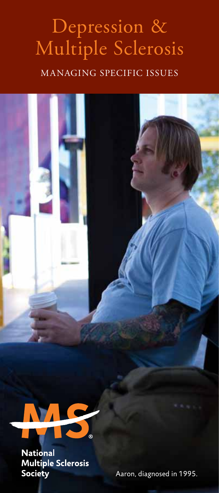# Depression & Multiple Sclerosis

#### Managing specific issues



**National Multiple Sclerosis** Society

Aaron, diagnosed in 1995.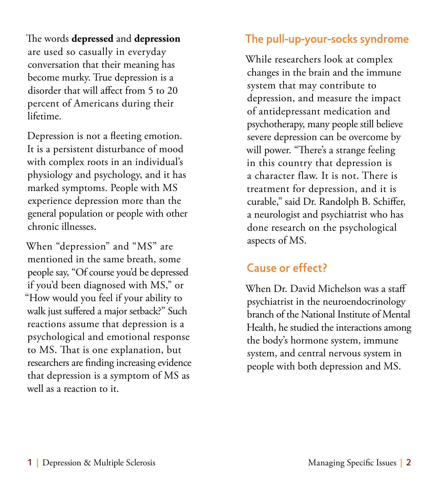The words **depressed** and **depression** are used so casually in everyday conversation that their meaning has become murky. True depression is a disorder that will affect from 5 to 20 percent of Americans during their lifetime.

Depression is not a fleeting emotion. It is a persistent disturbance of mood with complex roots in an individual's physiology and psychology, and it has marked symptoms. People with MS experience depression more than the general population or people with other chronic illnesses.

When "depression" and "MS" are mentioned in the same breath, some people say, "Of course you'd be depressed if you'd been diagnosed with MS," or "How would you feel if your ability to walk just suffered a major setback?" Such reactions assume that depression is a psychological and emotional response to MS. That is one explanation, but researchers are finding increasing evidence that depression is a symptom of MS as well as a reaction to it.

#### The pull-up-your-socks syndrome

While researchers look at complex changes in the brain and the immune system that may contribute to depression, and measure the impact of antidepressant medication and psychotherapy, many people still believe severe depression can be overcome by will power. "There's a strange feeling in this country that depression is a character flaw. It is not. There is treatment for depression, and it is curable," said Dr. Randolph B. Schiffer, a neurologist and psychiatrist who has done research on the psychological aspects of MS.

### Cause or effect?

When Dr. David Michelson was a staff psychiatrist in the neuroendocrinology branch of the National Institute of Mental Health, he studied the interactions among the body's hormone system, immune system, and central nervous system in people with both depression and MS.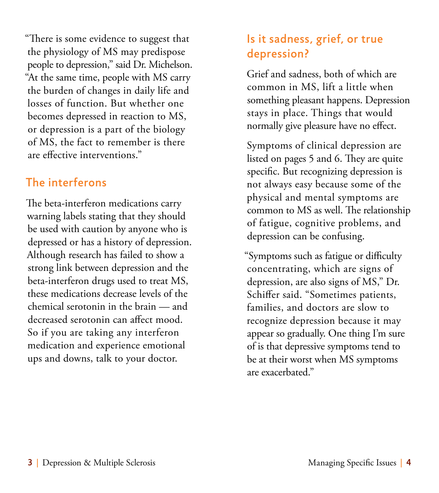"There is some evidence to suggest that the physiology of MS may predispose people to depression," said Dr. Michelson. "At the same time, people with MS carry the burden of changes in daily life and losses of function. But whether one becomes depressed in reaction to MS, or depression is a part of the biology of MS, the fact to remember is there are effective interventions."

#### The interferons

The beta-interferon medications carry warning labels stating that they should be used with caution by anyone who is depressed or has a history of depression. Although research has failed to show a strong link between depression and the beta-interferon drugs used to treat MS, these medications decrease levels of the chemical serotonin in the brain — and decreased serotonin can affect mood. So if you are taking any interferon medication and experience emotional ups and downs, talk to your doctor.

### Is it sadness, grief, or true depression?

Grief and sadness, both of which are common in MS, lift a little when something pleasant happens. Depression stays in place. Things that would normally give pleasure have no effect.

Symptoms of clinical depression are listed on pages 5 and 6. They are quite specific. But recognizing depression is not always easy because some of the physical and mental symptoms are common to MS as well. The relationship of fatigue, cognitive problems, and depression can be confusing.

"Symptoms such as fatigue or difficulty concentrating, which are signs of depression, are also signs of MS," Dr. Schiffer said. "Sometimes patients, families, and doctors are slow to recognize depression because it may appear so gradually. One thing I'm sure of is that depressive symptoms tend to be at their worst when MS symptoms are exacerbated."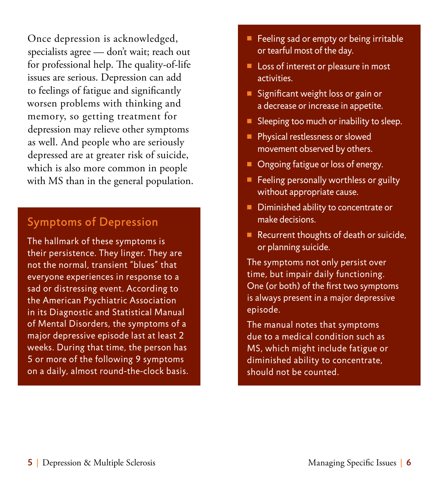Once depression is acknowledged, specialists agree — don't wait; reach out for professional help. The quality-of-life issues are serious. Depression can add to feelings of fatigue and significantly worsen problems with thinking and memory, so getting treatment for depression may relieve other symptoms as well. And people who are seriously depressed are at greater risk of suicide, which is also more common in people with MS than in the general population.

#### Symptoms of Depression

The hallmark of these symptoms is their persistence. They linger. They are not the normal, transient "blues" that everyone experiences in response to a sad or distressing event. According to the American Psychiatric Association in its Diagnostic and Statistical Manual of Mental Disorders, the symptoms of a major depressive episode last at least 2 weeks. During that time, the person has 5 or more of the following 9 symptoms on a daily, almost round-the-clock basis.

- Feeling sad or empty or being irritable or tearful most of the day.
- $\blacksquare$  Loss of interest or pleasure in most activities.
- Significant weight loss or gain or a decrease or increase in appetite.
- $\blacksquare$  Sleeping too much or inability to sleep.
- **Physical restlessness or slowed** movement observed by others.
- **n** Ongoing fatigue or loss of energy.
- $\blacksquare$  Feeling personally worthless or guilty without appropriate cause.
- Diminished ability to concentrate or make decisions.
- Recurrent thoughts of death or suicide, or planning suicide.

The symptoms not only persist over time, but impair daily functioning. One (or both) of the first two symptoms is always present in a major depressive episode.

The manual notes that symptoms due to a medical condition such as MS, which might include fatigue or diminished ability to concentrate, should not be counted.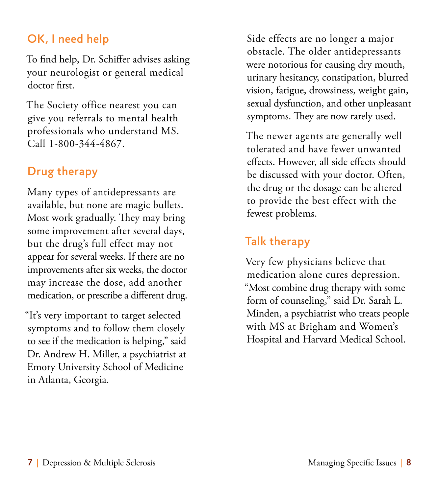# OK, I need help

To find help, Dr. Schiffer advises asking your neurologist or general medical doctor first.

The Society office nearest you can give you referrals to mental health professionals who understand MS. Call 1-800-344-4867.

### Drug therapy

Many types of antidepressants are available, but none are magic bullets. Most work gradually. They may bring some improvement after several days, but the drug's full effect may not appear for several weeks. If there are no improvements after six weeks, the doctor may increase the dose, add another medication, or prescribe a different drug.

"It's very important to target selected symptoms and to follow them closely to see if the medication is helping," said Dr. Andrew H. Miller, a psychiatrist at Emory University School of Medicine in Atlanta, Georgia.

Side effects are no longer a major obstacle. The older antidepressants were notorious for causing dry mouth, urinary hesitancy, constipation, blurred vision, fatigue, drowsiness, weight gain, sexual dysfunction, and other unpleasant symptoms. They are now rarely used.

The newer agents are generally well tolerated and have fewer unwanted effects. However, all side effects should be discussed with your doctor. Often, the drug or the dosage can be altered to provide the best effect with the fewest problems.

### Talk therapy

Very few physicians believe that medication alone cures depression. "Most combine drug therapy with some form of counseling," said Dr. Sarah L. Minden, a psychiatrist who treats people with MS at Brigham and Women's Hospital and Harvard Medical School.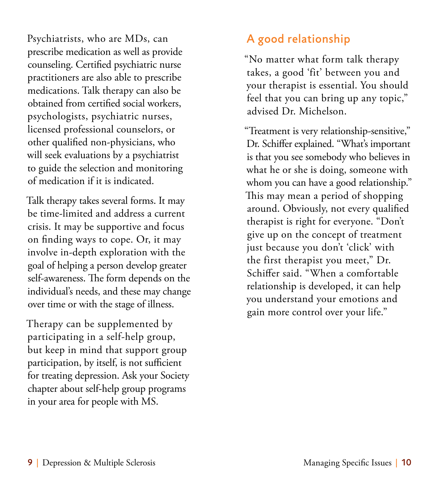Psychiatrists, who are MDs, can prescribe medication as well as provide counseling. Certified psychiatric nurse practitioners are also able to prescribe medications. Talk therapy can also be obtained from certified social workers, psychologists, psychiatric nurses, licensed professional counselors, or other qualified non-physicians, who will seek evaluations by a psychiatrist to guide the selection and monitoring of medication if it is indicated.

Talk therapy takes several forms. It may be time-limited and address a current crisis. It may be supportive and focus on finding ways to cope. Or, it may involve in-depth exploration with the goal of helping a person develop greater self-awareness. The form depends on the individual's needs, and these may change over time or with the stage of illness.

Therapy can be supplemented by participating in a self-help group, but keep in mind that support group participation, by itself, is not sufficient for treating depression. Ask your Society chapter about self-help group programs in your area for people with MS.

# A good relationship

"No matter what form talk therapy takes, a good 'fit' between you and your therapist is essential. You should feel that you can bring up any topic," advised Dr. Michelson.

"Treatment is very relationship-sensitive," Dr. Schiffer explained. "What's important is that you see somebody who believes in what he or she is doing, someone with whom you can have a good relationship." This may mean a period of shopping around. Obviously, not every qualified therapist is right for everyone. "Don't give up on the concept of treatment just because you don't 'click' with the first therapist you meet," Dr. Schiffer said. "When a comfortable relationship is developed, it can help you understand your emotions and gain more control over your life."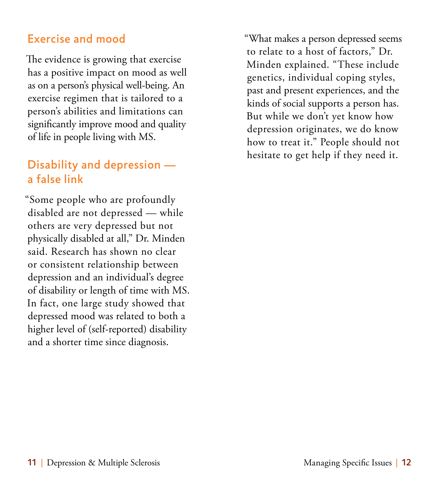#### Exercise and mood

The evidence is growing that exercise has a positive impact on mood as well as on a person's physical well-being. An exercise regimen that is tailored to a person's abilities and limitations can significantly improve mood and quality of life in people living with MS.

# Disability and depression a false link

"Some people who are profoundly disabled are not depressed — while others are very depressed but not physically disabled at all," Dr. Minden said. Research has shown no clear or consistent relationship between depression and an individual's degree of disability or length of time with MS. In fact, one large study showed that depressed mood was related to both a higher level of (self-reported) disability and a shorter time since diagnosis.

"What makes a person depressed seems to relate to a host of factors," Dr. Minden explained. "These include genetics, individual coping styles, past and present experiences, and the kinds of social supports a person has. But while we don't yet know how depression originates, we do know how to treat it." People should not hesitate to get help if they need it.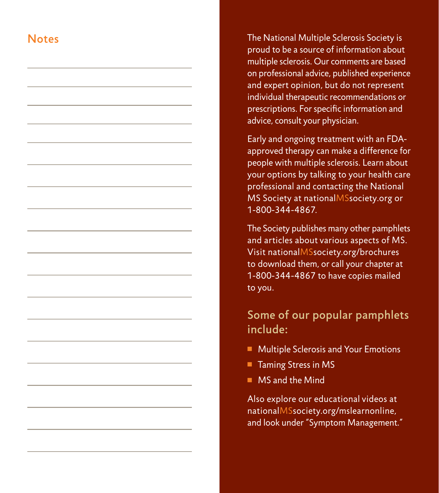#### **Notes**

The National Multiple Sclerosis Society is proud to be a source of information about multiple sclerosis. Our comments are based on professional advice, published experience and expert opinion, but do not represent individual therapeutic recommendations or prescriptions. For specific information and advice, consult your physician.

Early and ongoing treatment with an FDAapproved therapy can make a difference for people with multiple sclerosis. Learn about your options by talking to your health care professional and contacting the National MS Society at nationalMSsociety.org or 1-800-344-4867.

The Society publishes many other pamphlets and articles about various aspects of MS. Visit nationalMSsociety.org/brochures to download them, or call your chapter at 1-800-344-4867 to have copies mailed to you.

#### Some of our popular pamphlets include:

- **n** Multiple Sclerosis and Your Emotions
- Taming Stress in MS
- $\blacksquare$  MS and the Mind

Also explore our educational videos at nationalMSsociety.org/mslearnonline, and look under "Symptom Management."